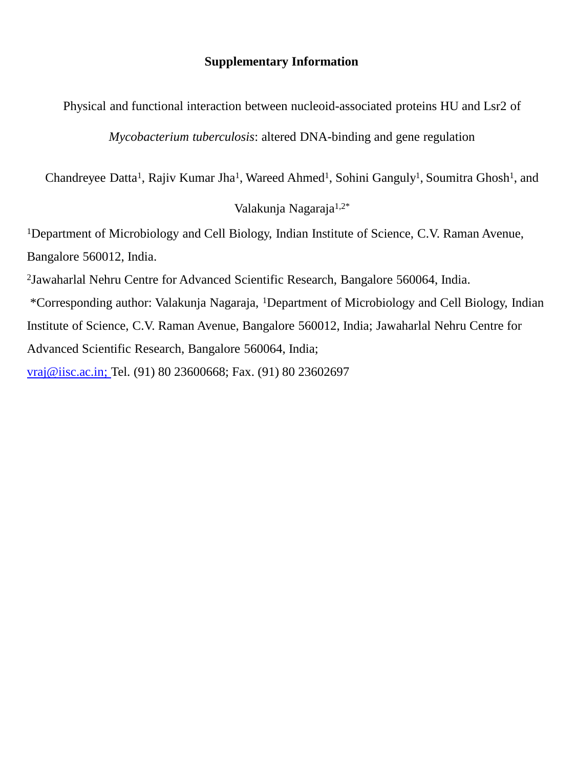## **Supplementary Information**

Physical and functional interaction between nucleoid-associated proteins HU and Lsr2 of

*Mycobacterium tuberculosis*: altered DNA-binding and gene regulation

Chandreyee Datta<sup>1</sup>, Rajiv Kumar Jha<sup>1</sup>, Wareed Ahmed<sup>1</sup>, Sohini Ganguly<sup>1</sup>, Soumitra Ghosh<sup>1</sup>, and

## Valakunja Nagaraja1,2\*

<sup>1</sup>Department of Microbiology and Cell Biology, Indian Institute of Science, C.V. Raman Avenue, Bangalore 560012, India.

2 Jawaharlal Nehru Centre for Advanced Scientific Research, Bangalore 560064, India.

\*Corresponding author: Valakunja Nagaraja, <sup>1</sup>Department of Microbiology and Cell Biology, Indian Institute of Science, C.V. Raman Avenue, Bangalore 560012, India; Jawaharlal Nehru Centre for Advanced Scientific Research, Bangalore 560064, India;

[vraj@iisc.ac.in;](mailto:vraj@iisc.ac.in) Tel. (91) 80 23600668; Fax. (91) 80 23602697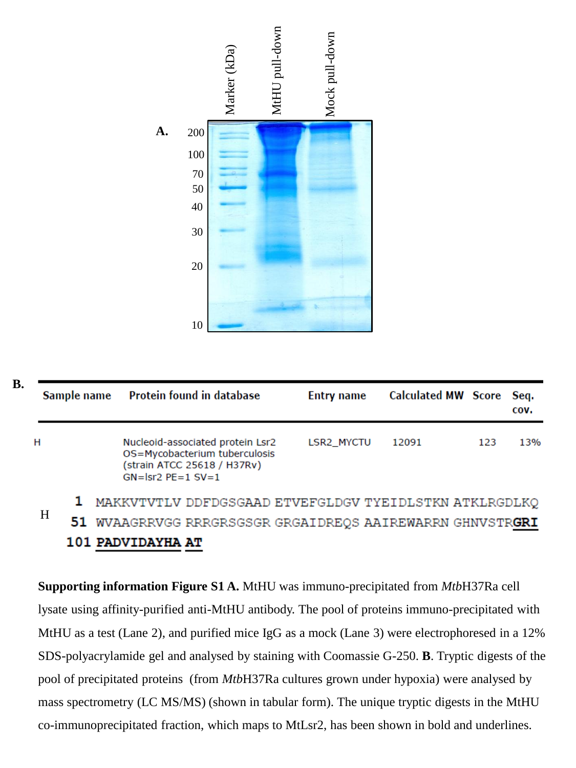

| Sample name |                                                        | Protein found in database                                                                                                 | <b>Entry name</b> | Calculated MW Score Seq. |     | COV. |
|-------------|--------------------------------------------------------|---------------------------------------------------------------------------------------------------------------------------|-------------------|--------------------------|-----|------|
| н           |                                                        | Nucleoid-associated protein Lsr2<br>OS=Mycobacterium tuberculosis<br>(strain ATCC 25618 / H37Rv)<br>$GN =  sr2$ PE=1 SV=1 | LSR2 MYCTU        | 12091                    | 123 | 13%  |
|             | MAKKVTVTLV DDFDGSGAAD ETVEFGLDGV TYEIDLSTKN ATKLRGDLKQ |                                                                                                                           |                   |                          |     |      |

51. WVAAGRRVGG RRRGRSGSGR GRGAIDREQS AAIREWARRN GHNVSTRGRI 101 PADVIDAYHA AT

**Supporting information Figure S1 A.** MtHU was immuno-precipitated from *Mtb*H37Ra cell lysate using affinity-purified anti-MtHU antibody. The pool of proteins immuno-precipitated with MtHU as a test (Lane 2), and purified mice IgG as a mock (Lane 3) were electrophoresed in a 12% SDS-polyacrylamide gel and analysed by staining with Coomassie G-250. **B**. Tryptic digests of the pool of precipitated proteins (from *Mtb*H37Ra cultures grown under hypoxia) were analysed by mass spectrometry (LC MS/MS) (shown in tabular form). The unique tryptic digests in the MtHU co-immunoprecipitated fraction, which maps to MtLsr2, has been shown in bold and underlines.

**B.**

H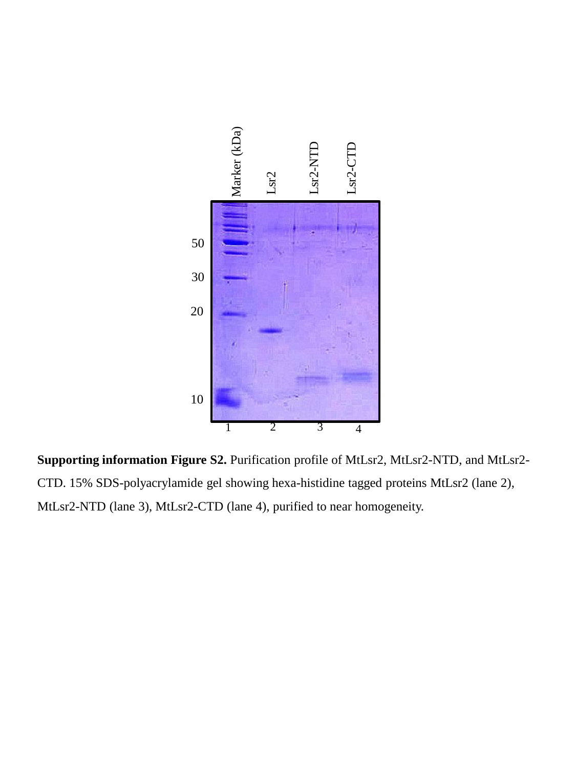

**Supporting information Figure S2.** Purification profile of MtLsr2, MtLsr2-NTD, and MtLsr2- CTD. 15% SDS-polyacrylamide gel showing hexa-histidine tagged proteins MtLsr2 (lane 2),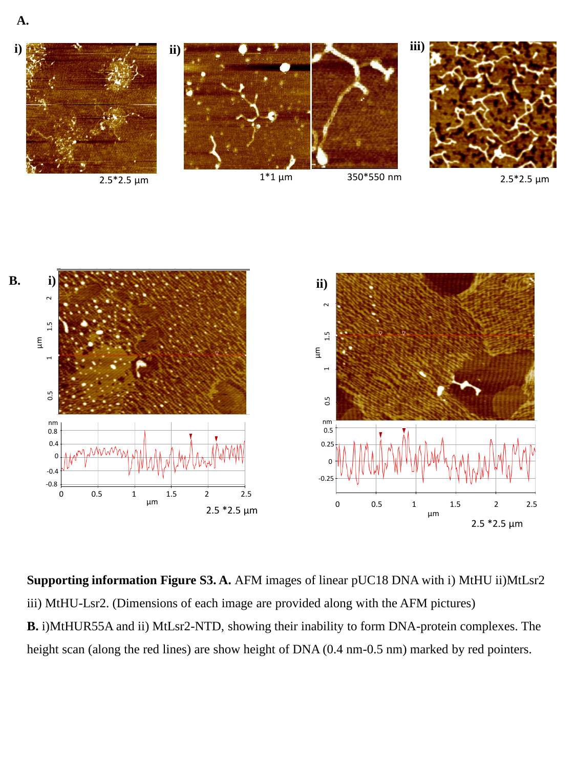**A.**



**Supporting information Figure S3. A.** AFM images of linear pUC18 DNA with i) MtHU ii)MtLsr2 iii) MtHU-Lsr2. (Dimensions of each image are provided along with the AFM pictures) **B.** i)MtHUR55A and ii) MtLsr2-NTD, showing their inability to form DNA-protein complexes. The height scan (along the red lines) are show height of DNA (0.4 nm-0.5 nm) marked by red pointers.

 $2.5 * 2.5 \mu m$ 

0.5 0.25 0  $-0.25$ 

> 0 0.5 1 1.5 2 2.5 µm

2.5 \*2.5 µm

0 0.5 1 1.5 2 2.5 µm

0.4  $\Omega$ -0.4 -0.8

0.8 nm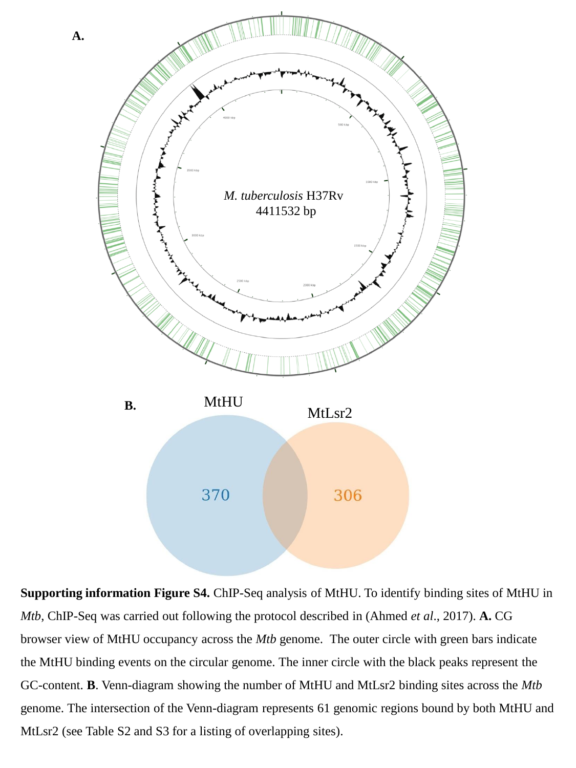

**Supporting information Figure S4.** ChIP-Seq analysis of MtHU. To identify binding sites of MtHU in *Mtb*, ChIP-Seq was carried out following the protocol described in (Ahmed *et al*., 2017). **A.** CG browser view of MtHU occupancy across the *Mtb* genome. The outer circle with green bars indicate the MtHU binding events on the circular genome. The inner circle with the black peaks represent the GC-content. **B**. Venn-diagram showing the number of MtHU and MtLsr2 binding sites across the *Mtb* genome. The intersection of the Venn-diagram represents 61 genomic regions bound by both MtHU and MtLsr2 (see Table S2 and S3 for a listing of overlapping sites).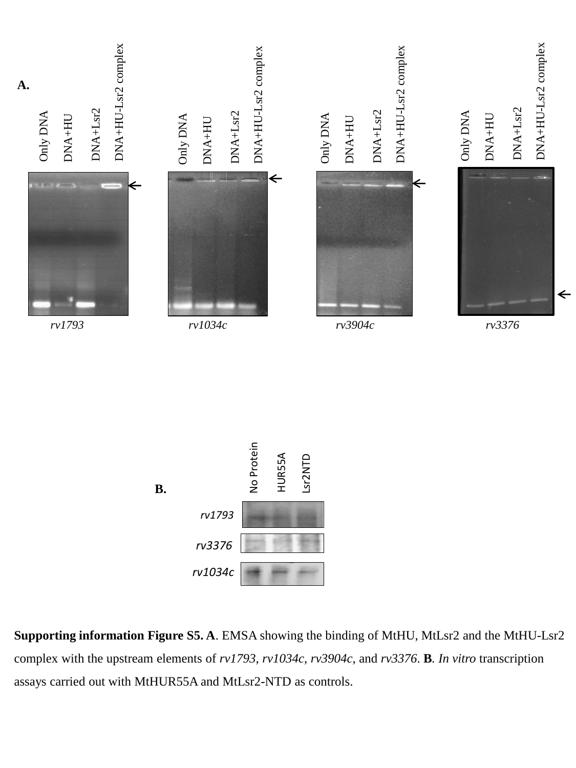



**Supporting information Figure S5. A**. EMSA showing the binding of MtHU, MtLsr2 and the MtHU-Lsr2 complex with the upstream elements of *rv1793*, *rv1034c*, *rv3904c*, and *rv3376*. **B***. In vitro* transcription